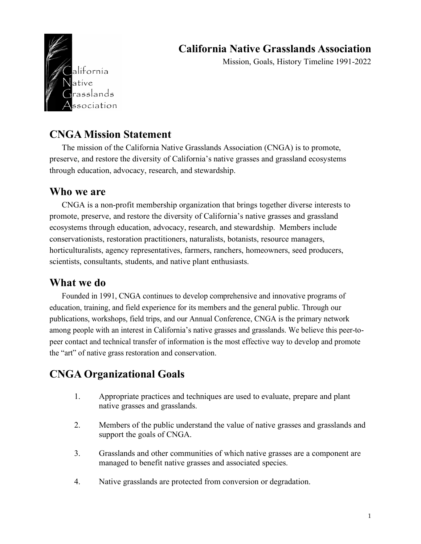## **California Native Grasslands Association**

alífornía atíve asslands ssociation

Mission, Goals, History Timeline 1991-2022

### **CNGA Mission Statement**

The mission of the California Native Grasslands Association (CNGA) is to promote, preserve, and restore the diversity of California's native grasses and grassland ecosystems through education, advocacy, research, and stewardship.

#### **Who we are**

CNGA is a non-profit membership organization that brings together diverse interests to promote, preserve, and restore the diversity of California's native grasses and grassland ecosystems through education, advocacy, research, and stewardship. Members include conservationists, restoration practitioners, naturalists, botanists, resource managers, horticulturalists, agency representatives, farmers, ranchers, homeowners, seed producers, scientists, consultants, students, and native plant enthusiasts.

#### **What we do**

Founded in 1991, CNGA continues to develop comprehensive and innovative programs of education, training, and field experience for its members and the general public. Through our publications, workshops, field trips, and our Annual Conference, CNGA is the primary network among people with an interest in California's native grasses and grasslands. We believe this peer-topeer contact and technical transfer of information is the most effective way to develop and promote the "art" of native grass restoration and conservation.

### **CNGA Organizational Goals**

- 1. Appropriate practices and techniques are used to evaluate, prepare and plant native grasses and grasslands.
- 2. Members of the public understand the value of native grasses and grasslands and support the goals of CNGA.
- 3. Grasslands and other communities of which native grasses are a component are managed to benefit native grasses and associated species.
- 4. Native grasslands are protected from conversion or degradation.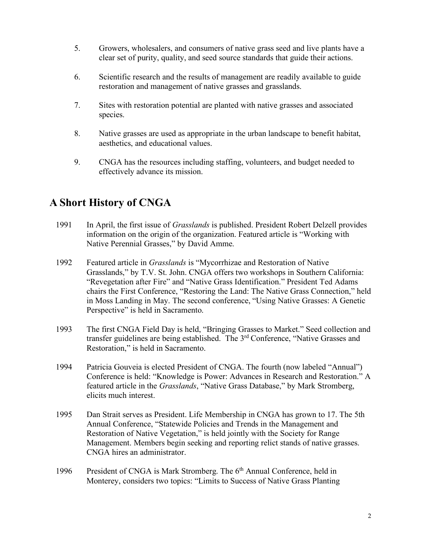- 5. Growers, wholesalers, and consumers of native grass seed and live plants have a clear set of purity, quality, and seed source standards that guide their actions.
- 6. Scientific research and the results of management are readily available to guide restoration and management of native grasses and grasslands.
- 7. Sites with restoration potential are planted with native grasses and associated species.
- 8. Native grasses are used as appropriate in the urban landscape to benefit habitat, aesthetics, and educational values.
- 9. CNGA has the resources including staffing, volunteers, and budget needed to effectively advance its mission.

# **A Short History of CNGA**

- 1991 In April, the first issue of *Grasslands* is published. President Robert Delzell provides information on the origin of the organization. Featured article is "Working with Native Perennial Grasses," by David Amme.
- 1992 Featured article in *Grasslands* is "Mycorrhizae and Restoration of Native Grasslands," by T.V. St. John. CNGA offers two workshops in Southern California: "Revegetation after Fire" and "Native Grass Identification." President Ted Adams chairs the First Conference, "Restoring the Land: The Native Grass Connection," held in Moss Landing in May. The second conference, "Using Native Grasses: A Genetic Perspective" is held in Sacramento.
- 1993 The first CNGA Field Day is held, "Bringing Grasses to Market." Seed collection and transfer guidelines are being established. The  $3<sup>rd</sup>$  Conference, "Native Grasses and Restoration," is held in Sacramento.
- 1994 Patricia Gouveia is elected President of CNGA. The fourth (now labeled "Annual") Conference is held: "Knowledge is Power: Advances in Research and Restoration." A featured article in the *Grasslands*, "Native Grass Database," by Mark Stromberg, elicits much interest.
- 1995 Dan Strait serves as President. Life Membership in CNGA has grown to 17. The 5th Annual Conference, "Statewide Policies and Trends in the Management and Restoration of Native Vegetation," is held jointly with the Society for Range Management. Members begin seeking and reporting relict stands of native grasses. CNGA hires an administrator.
- 1996 President of CNGA is Mark Stromberg. The 6<sup>th</sup> Annual Conference, held in Monterey, considers two topics: "Limits to Success of Native Grass Planting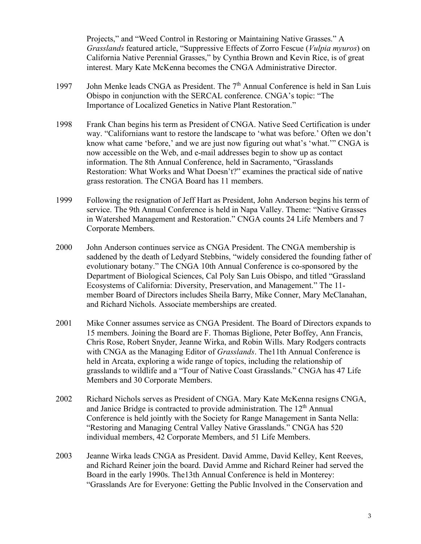Projects," and "Weed Control in Restoring or Maintaining Native Grasses." A *Grasslands* featured article, "Suppressive Effects of Zorro Fescue (*Vulpia myuros*) on California Native Perennial Grasses," by Cynthia Brown and Kevin Rice, is of great interest. Mary Kate McKenna becomes the CNGA Administrative Director.

- 1997 John Menke leads CNGA as President. The 7<sup>th</sup> Annual Conference is held in San Luis Obispo in conjunction with the SERCAL conference. CNGA's topic: "The Importance of Localized Genetics in Native Plant Restoration."
- 1998 Frank Chan begins his term as President of CNGA. Native Seed Certification is under way. "Californians want to restore the landscape to 'what was before.' Often we don't know what came 'before,' and we are just now figuring out what's 'what.'" CNGA is now accessible on the Web, and e-mail addresses begin to show up as contact information. The 8th Annual Conference, held in Sacramento, "Grasslands Restoration: What Works and What Doesn't?" examines the practical side of native grass restoration. The CNGA Board has 11 members.
- 1999 Following the resignation of Jeff Hart as President, John Anderson begins his term of service. The 9th Annual Conference is held in Napa Valley. Theme: "Native Grasses in Watershed Management and Restoration." CNGA counts 24 Life Members and 7 Corporate Members.
- 2000 John Anderson continues service as CNGA President. The CNGA membership is saddened by the death of Ledyard Stebbins, "widely considered the founding father of evolutionary botany." The CNGA 10th Annual Conference is co-sponsored by the Department of Biological Sciences, Cal Poly San Luis Obispo, and titled "Grassland Ecosystems of California: Diversity, Preservation, and Management." The 11 member Board of Directors includes Sheila Barry, Mike Conner, Mary McClanahan, and Richard Nichols. Associate memberships are created.
- 2001 Mike Conner assumes service as CNGA President. The Board of Directors expands to 15 members. Joining the Board are F. Thomas Biglione, Peter Boffey, Ann Francis, Chris Rose, Robert Snyder, Jeanne Wirka, and Robin Wills. Mary Rodgers contracts with CNGA as the Managing Editor of *Grasslands*. The11th Annual Conference is held in Arcata, exploring a wide range of topics, including the relationship of grasslands to wildlife and a "Tour of Native Coast Grasslands." CNGA has 47 Life Members and 30 Corporate Members.
- 2002 Richard Nichols serves as President of CNGA. Mary Kate McKenna resigns CNGA, and Janice Bridge is contracted to provide administration. The  $12<sup>th</sup>$  Annual Conference is held jointly with the Society for Range Management in Santa Nella: "Restoring and Managing Central Valley Native Grasslands." CNGA has 520 individual members, 42 Corporate Members, and 51 Life Members.
- 2003 Jeanne Wirka leads CNGA as President. David Amme, David Kelley, Kent Reeves, and Richard Reiner join the board. David Amme and Richard Reiner had served the Board in the early 1990s. The13th Annual Conference is held in Monterey: "Grasslands Are for Everyone: Getting the Public Involved in the Conservation and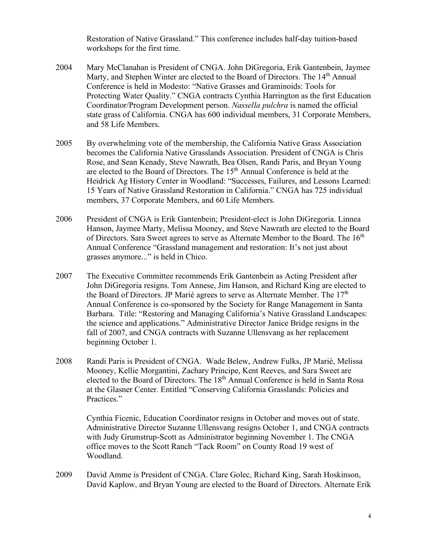Restoration of Native Grassland." This conference includes half-day tuition-based workshops for the first time.

- 2004 Mary McClanahan is President of CNGA. John DiGregoria, Erik Gantenbein, Jaymee Marty, and Stephen Winter are elected to the Board of Directors. The 14<sup>th</sup> Annual Conference is held in Modesto: "Native Grasses and Graminoids: Tools for Protecting Water Quality." CNGA contracts Cynthia Harrington as the first Education Coordinator/Program Development person. *Nassella pulchra* is named the official state grass of California. CNGA has 600 individual members, 31 Corporate Members, and 58 Life Members.
- 2005 By overwhelming vote of the membership, the California Native Grass Association becomes the California Native Grasslands Association. President of CNGA is Chris Rose, and Sean Kenady, Steve Nawrath, Bea Olsen, Randi Paris, and Bryan Young are elected to the Board of Directors. The  $15<sup>th</sup>$  Annual Conference is held at the Heidrick Ag History Center in Woodland: "Successes, Failures, and Lessons Learned: 15 Years of Native Grassland Restoration in California." CNGA has 725 individual members, 37 Corporate Members, and 60 Life Members.
- 2006 President of CNGA is Erik Gantenbein; President-elect is John DiGregoria. Linnea Hanson, Jaymee Marty, Melissa Mooney, and Steve Nawrath are elected to the Board of Directors. Sara Sweet agrees to serve as Alternate Member to the Board. The  $16<sup>th</sup>$ Annual Conference "Grassland management and restoration: It's not just about grasses anymore..." is held in Chico.
- 2007 The Executive Committee recommends Erik Gantenbein as Acting President after John DiGregoria resigns. Tom Annese, Jim Hanson, and Richard King are elected to the Board of Directors. JP Marié agrees to serve as Alternate Member. The  $17<sup>th</sup>$ Annual Conference is co-sponsored by the Society for Range Management in Santa Barbara. Title: "Restoring and Managing California's Native Grassland Landscapes: the science and applications." Administrative Director Janice Bridge resigns in the fall of 2007, and CNGA contracts with Suzanne Ullensvang as her replacement beginning October 1.
- 2008 Randi Paris is President of CNGA. Wade Belew, Andrew Fulks, JP Marié, Melissa Mooney, Kellie Morgantini, Zachary Principe, Kent Reeves, and Sara Sweet are elected to the Board of Directors. The 18<sup>th</sup> Annual Conference is held in Santa Rosa at the Glasner Center. Entitled "Conserving California Grasslands: Policies and Practices."

Cynthia Ficenic, Education Coordinator resigns in October and moves out of state. Administrative Director Suzanne Ullensvang resigns October 1, and CNGA contracts with Judy Grumstrup-Scott as Administrator beginning November 1. The CNGA office moves to the Scott Ranch "Tack Room" on County Road 19 west of Woodland.

2009 David Amme is President of CNGA. Clare Golec, Richard King, Sarah Hoskinson, David Kaplow, and Bryan Young are elected to the Board of Directors. Alternate Erik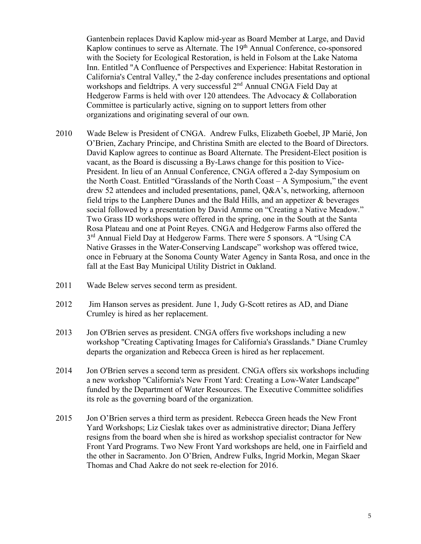Gantenbein replaces David Kaplow mid-year as Board Member at Large, and David Kaplow continues to serve as Alternate. The 19<sup>th</sup> Annual Conference, co-sponsored with the Society for Ecological Restoration, is held in Folsom at the Lake Natoma Inn. Entitled "A Confluence of Perspectives and Experience: Habitat Restoration in California's Central Valley," the 2-day conference includes presentations and optional workshops and fieldtrips. A very successful  $2<sup>nd</sup>$  Annual CNGA Field Day at Hedgerow Farms is held with over 120 attendees. The Advocacy & Collaboration Committee is particularly active, signing on to support letters from other organizations and originating several of our own.

- 2010 Wade Belew is President of CNGA. Andrew Fulks, Elizabeth Goebel, JP Marié, Jon O'Brien, Zachary Principe, and Christina Smith are elected to the Board of Directors. David Kaplow agrees to continue as Board Alternate. The President-Elect position is vacant, as the Board is discussing a By-Laws change for this position to Vice-President. In lieu of an Annual Conference, CNGA offered a 2-day Symposium on the North Coast. Entitled "Grasslands of the North Coast – A Symposium," the event drew 52 attendees and included presentations, panel, Q&A's, networking, afternoon field trips to the Lanphere Dunes and the Bald Hills, and an appetizer & beverages social followed by a presentation by David Amme on "Creating a Native Meadow." Two Grass ID workshops were offered in the spring, one in the South at the Santa Rosa Plateau and one at Point Reyes. CNGA and Hedgerow Farms also offered the 3<sup>rd</sup> Annual Field Day at Hedgerow Farms. There were 5 sponsors. A "Using CA Native Grasses in the Water-Conserving Landscape" workshop was offered twice, once in February at the Sonoma County Water Agency in Santa Rosa, and once in the fall at the East Bay Municipal Utility District in Oakland.
- 2011 Wade Belew serves second term as president.
- 2012 Jim Hanson serves as president. June 1, Judy G-Scott retires as AD, and Diane Crumley is hired as her replacement.
- 2013 Jon O'Brien serves as president. CNGA offers five workshops including a new workshop "Creating Captivating Images for California's Grasslands." Diane Crumley departs the organization and Rebecca Green is hired as her replacement.
- 2014 Jon O'Brien serves a second term as president. CNGA offers six workshops including a new workshop "California's New Front Yard: Creating a Low-Water Landscape" funded by the Department of Water Resources. The Executive Committee solidifies its role as the governing board of the organization.
- 2015 Jon O'Brien serves a third term as president. Rebecca Green heads the New Front Yard Workshops; Liz Cieslak takes over as administrative director; Diana Jeffery resigns from the board when she is hired as workshop specialist contractor for New Front Yard Programs. Two New Front Yard workshops are held, one in Fairfield and the other in Sacramento. Jon O'Brien, Andrew Fulks, Ingrid Morkin, Megan Skaer Thomas and Chad Aakre do not seek re-election for 2016.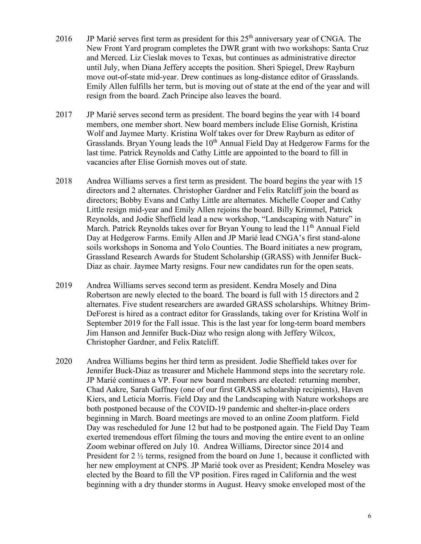- 2016 JP Marié serves first term as president for this  $25<sup>th</sup>$  anniversary year of CNGA. The New Front Yard program completes the DWR grant with two workshops: Santa Cruz and Merced. Liz Cieslak moves to Texas, but continues as administrative director until July, when Diana Jeffery accepts the position. Sheri Spiegel, Drew Rayburn move out-of-state mid-year. Drew continues as long-distance editor of Grasslands. Emily Allen fulfills her term, but is moving out of state at the end of the year and will resign from the board. Zach Principe also leaves the board.
- 2017 JP Marié serves second term as president. The board begins the year with 14 board members, one member short. New board members include Elise Gornish, Kristina Wolf and Jaymee Marty. Kristina Wolf takes over for Drew Rayburn as editor of Grasslands. Bryan Young leads the 10<sup>th</sup> Annual Field Day at Hedgerow Farms for the last time. Patrick Reynolds and Cathy Little are appointed to the board to fill in vacancies after Elise Gornish moves out of state.
- 2018 Andrea Williams serves a first term as president. The board begins the year with 15 directors and 2 alternates. Christopher Gardner and Felix Ratcliff join the board as directors; Bobby Evans and Cathy Little are alternates. Michelle Cooper and Cathy Little resign mid-year and Emily Allen rejoins the board. Billy Krimmel, Patrick Reynolds, and Jodie Sheffield lead a new workshop, "Landscaping with Nature" in March. Patrick Reynolds takes over for Bryan Young to lead the  $11<sup>th</sup>$  Annual Field Day at Hedgerow Farms. Emily Allen and JP Marié lead CNGA's first stand-alone soils workshops in Sonoma and Yolo Counties. The Board initiates a new program, Grassland Research Awards for Student Scholarship (GRASS) with Jennifer Buck-Diaz as chair. Jaymee Marty resigns. Four new candidates run for the open seats.
- 2019 Andrea Williams serves second term as president. Kendra Mosely and Dina Robertson are newly elected to the board. The board is full with 15 directors and 2 alternates. Five student researchers are awarded GRASS scholarships. Whitney Brim-DeForest is hired as a contract editor for Grasslands, taking over for Kristina Wolf in September 2019 for the Fall issue. This is the last year for long-term board members Jim Hanson and Jennifer Buck-Diaz who resign along with Jeffery Wilcox, Christopher Gardner, and Felix Ratcliff.
- 2020 Andrea Williams begins her third term as president. Jodie Sheffield takes over for Jennifer Buck-Diaz as treasurer and Michele Hammond steps into the secretary role. JP Marié continues a VP. Four new board members are elected: returning member, Chad Aakre, Sarah Gaffney (one of our first GRASS scholarship recipients), Haven Kiers, and Leticia Morris. Field Day and the Landscaping with Nature workshops are both postponed because of the COVID-19 pandemic and shelter-in-place orders beginning in March. Board meetings are moved to an online Zoom platform. Field Day was rescheduled for June 12 but had to be postponed again. The Field Day Team exerted tremendous effort filming the tours and moving the entire event to an online Zoom webinar offered on July 10. Andrea Williams, Director since 2014 and President for 2  $\frac{1}{2}$  terms, resigned from the board on June 1, because it conflicted with her new employment at CNPS. JP Marié took over as President; Kendra Moseley was elected by the Board to fill the VP position. Fires raged in California and the west beginning with a dry thunder storms in August. Heavy smoke enveloped most of the